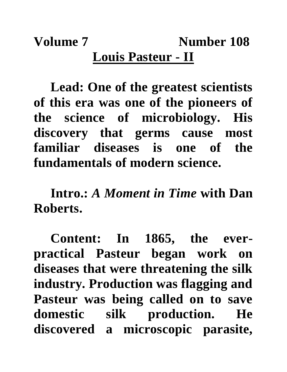## **Volume 7** Number 108 **Louis Pasteur - II**

**Lead: One of the greatest scientists of this era was one of the pioneers of the science of microbiology. His discovery that germs cause most familiar diseases is one of the fundamentals of modern science.**

**Intro.:** *A Moment in Time* **with Dan Roberts.**

**Content: In 1865, the everpractical Pasteur began work on diseases that were threatening the silk industry. Production was flagging and Pasteur was being called on to save domestic silk production. He discovered a microscopic parasite,**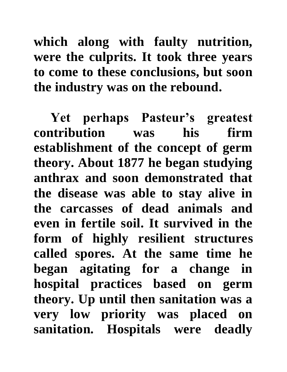**which along with faulty nutrition, were the culprits. It took three years to come to these conclusions, but soon the industry was on the rebound.**

**Yet perhaps Pasteur's greatest contribution was his firm establishment of the concept of germ theory. About 1877 he began studying anthrax and soon demonstrated that the disease was able to stay alive in the carcasses of dead animals and even in fertile soil. It survived in the form of highly resilient structures called spores. At the same time he began agitating for a change in hospital practices based on germ theory. Up until then sanitation was a very low priority was placed on sanitation. Hospitals were deadly**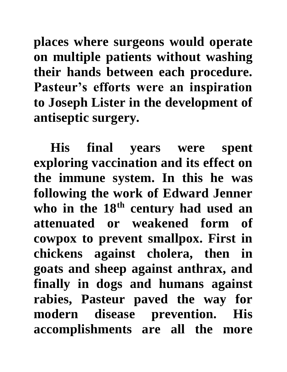**places where surgeons would operate on multiple patients without washing their hands between each procedure. Pasteur's efforts were an inspiration to Joseph Lister in the development of antiseptic surgery.**

**His final years were spent exploring vaccination and its effect on the immune system. In this he was following the work of Edward Jenner who in the 18th century had used an attenuated or weakened form of cowpox to prevent smallpox. First in chickens against cholera, then in goats and sheep against anthrax, and finally in dogs and humans against rabies, Pasteur paved the way for modern disease prevention. His accomplishments are all the more**